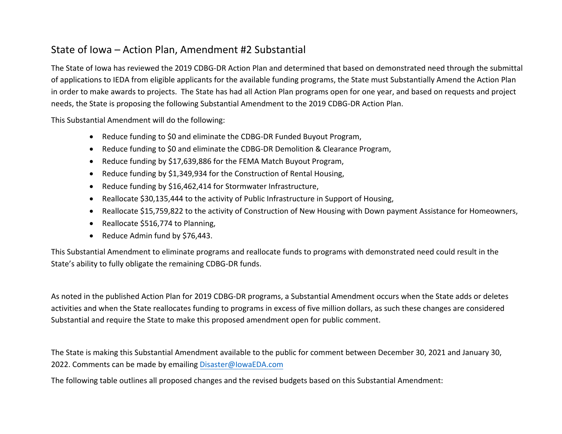## State of Iowa – Action Plan, Amendment #2 Substantial

The State of Iowa has reviewed the 2019 CDBG-DR Action Plan and determined that based on demonstrated need through the submittal of applications to IEDA from eligible applicants for the available funding programs, the State must Substantially Amend the Action Plan in order to make awards to projects. The State has had all Action Plan programs open for one year, and based on requests and project needs, the State is proposing the following Substantial Amendment to the 2019 CDBG-DR Action Plan.

This Substantial Amendment will do the following:

- Reduce funding to \$0 and eliminate the CDBG-DR Funded Buyout Program,
- Reduce funding to \$0 and eliminate the CDBG-DR Demolition & Clearance Program,
- Reduce funding by \$17,639,886 for the FEMA Match Buyout Program,
- Reduce funding by \$1,349,934 for the Construction of Rental Housing,
- Reduce funding by \$16,462,414 for Stormwater Infrastructure,
- Reallocate \$30,135,444 to the activity of Public Infrastructure in Support of Housing,
- Reallocate \$15,759,822 to the activity of Construction of New Housing with Down payment Assistance for Homeowners,
- Reallocate \$516,774 to Planning,
- Reduce Admin fund by \$76,443.

This Substantial Amendment to eliminate programs and reallocate funds to programs with demonstrated need could result in the State's ability to fully obligate the remaining CDBG-DR funds.

As noted in the published Action Plan for 2019 CDBG-DR programs, a Substantial Amendment occurs when the State adds or deletes activities and when the State reallocates funding to programs in excess of five million dollars, as such these changes are considered Substantial and require the State to make this proposed amendment open for public comment.

The State is making this Substantial Amendment available to the public for comment between December 30, 2021 and January 30, 2022. Comments can be made by emailing [Disaster@IowaEDA](mailto:Disaser@IowaEDA.com).com

The following table outlines all proposed changes and the revised budgets based on this Substantial Amendment: